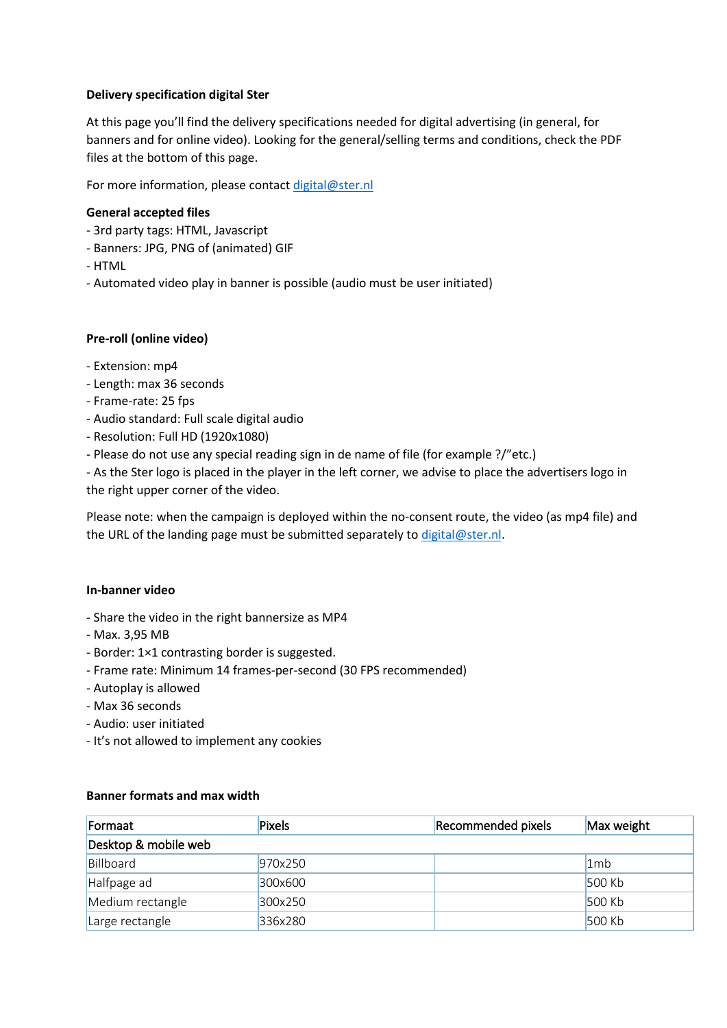# **Delivery specification digital Ster**

At this page you'll find the delivery specifications needed for digital advertising (in general, for banners and for online video). Looking for the general/selling terms and conditions, check the PDF files at the bottom of this page.

For more information, please contact [digital@ster.nl](mailto:digital@ster.nl)

# **General accepted files**

- 3rd party tags: HTML, Javascript
- Banners: JPG, PNG of (animated) GIF
- HTML
- Automated video play in banner is possible (audio must be user initiated)

### **Pre-roll (online video)**

- Extension: mp4
- Length: max 36 seconds
- Frame-rate: 25 fps
- Audio standard: Full scale digital audio
- Resolution: Full HD (1920x1080)
- Please do not use any special reading sign in de name of file (for example ?/"etc.)

- As the Ster logo is placed in the player in the left corner, we advise to place the advertisers logo in the right upper corner of the video.

Please note: when the campaign is deployed within the no-consent route, the video (as mp4 file) and the URL of the landing page must be submitted separately to [digital@ster.nl.](mailto:digital@ster.nl)

### **In-banner video**

- Share the video in the right bannersize as MP4
- Max. 3,95 MB
- Border: 1×1 contrasting border is suggested.
- Frame rate: Minimum 14 frames-per-second (30 FPS recommended)
- Autoplay is allowed
- Max 36 seconds
- Audio: user initiated
- It's not allowed to implement any cookies

### **Banner formats and max width**

| Formaat              | <b>Pixels</b> | Recommended pixels | Max weight      |  |
|----------------------|---------------|--------------------|-----------------|--|
| Desktop & mobile web |               |                    |                 |  |
| Billboard            | 970x250       |                    | 1 <sub>mb</sub> |  |
| Halfpage ad          | 300x600       |                    | 500 Kb          |  |
| Medium rectangle     | 300x250       |                    | 500 Kb          |  |
| Large rectangle      | 336x280       |                    | 500 Kb          |  |